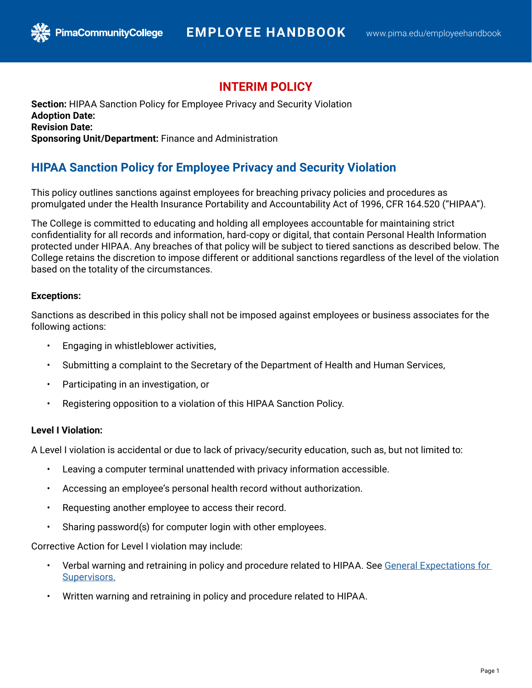## **INTERIM POLICY**

**Section:** HIPAA Sanction Policy for Employee Privacy and Security Violation **Adoption Date: Revision Date: Sponsoring Unit/Department:** Finance and Administration

# **HIPAA Sanction Policy for Employee Privacy and Security Violation**

This policy outlines sanctions against employees for breaching privacy policies and procedures as promulgated under the Health Insurance Portability and Accountability Act of 1996, CFR 164.520 ("HIPAA").

The College is committed to educating and holding all employees accountable for maintaining strict confidentiality for all records and information, hard-copy or digital, that contain Personal Health Information protected under HIPAA. Any breaches of that policy will be subject to tiered sanctions as described below. The College retains the discretion to impose different or additional sanctions regardless of the level of the violation based on the totality of the circumstances.

### **Exceptions:**

Sanctions as described in this policy shall not be imposed against employees or business associates for the following actions:

• Engaging in whistleblower activities,

**PimaCommunityCollege** 

- Submitting a complaint to the Secretary of the Department of Health and Human Services,
- Participating in an investigation, or
- Registering opposition to a violation of this HIPAA Sanction Policy.

### **Level I Violation:**

A Level I violation is accidental or due to lack of privacy/security education, such as, but not limited to:

- Leaving a computer terminal unattended with privacy information accessible.
- Accessing an employee's personal health record without authorization.
- Requesting another employee to access their record.
- Sharing password(s) for computer login with other employees.

Corrective Action for Level I violation may include:

- Verbal warning and retraining in policy and procedure related to HIPAA. See [General Expectations for](https://drive.google.com/file/d/1cGYlglN77PJJ71RkPqZYDSYvAD-iBEr6/view)  [Supervisors](https://drive.google.com/file/d/1cGYlglN77PJJ71RkPqZYDSYvAD-iBEr6/view).
- Written warning and retraining in policy and procedure related to HIPAA.